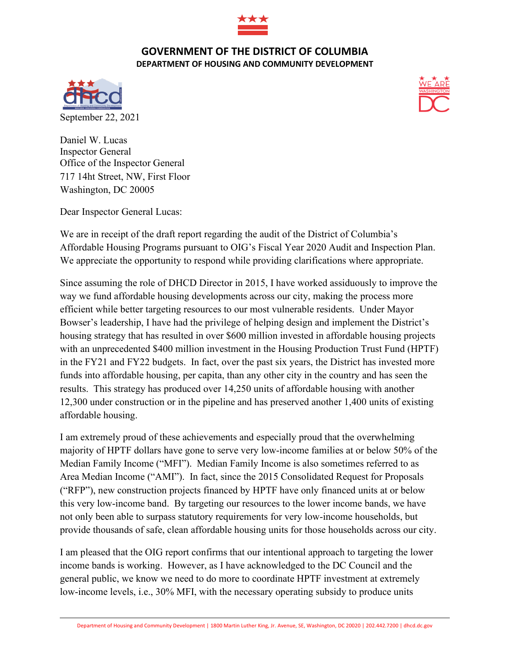

## **GOVERNMENT OF THE DISTRICT OF COLUMBIA DEPARTMENT OF HOUSING AND COMMUNITY DEVELOPMENT**





Daniel W. Lucas Inspector General Office of the Inspector General 717 14ht Street, NW, First Floor Washington, DC 20005

Dear Inspector General Lucas:

We are in receipt of the draft report regarding the audit of the District of Columbia's Affordable Housing Programs pursuant to OIG's Fiscal Year 2020 Audit and Inspection Plan. We appreciate the opportunity to respond while providing clarifications where appropriate.

Since assuming the role of DHCD Director in 2015, I have worked assiduously to improve the way we fund affordable housing developments across our city, making the process more efficient while better targeting resources to our most vulnerable residents. Under Mayor Bowser's leadership, I have had the privilege of helping design and implement the District's housing strategy that has resulted in over \$600 million invested in affordable housing projects with an unprecedented \$400 million investment in the Housing Production Trust Fund (HPTF) in the FY21 and FY22 budgets. In fact, over the past six years, the District has invested more funds into affordable housing, per capita, than any other city in the country and has seen the results. This strategy has produced over 14,250 units of affordable housing with another 12,300 under construction or in the pipeline and has preserved another 1,400 units of existing affordable housing.

I am extremely proud of these achievements and especially proud that the overwhelming majority of HPTF dollars have gone to serve very low-income families at or below 50% of the Median Family Income ("MFI"). Median Family Income is also sometimes referred to as Area Median Income ("AMI"). In fact, since the 2015 Consolidated Request for Proposals ("RFP"), new construction projects financed by HPTF have only financed units at or below this very low-income band. By targeting our resources to the lower income bands, we have not only been able to surpass statutory requirements for very low-income households, but provide thousands of safe, clean affordable housing units for those households across our city.

I am pleased that the OIG report confirms that our intentional approach to targeting the lower income bands is working. However, as I have acknowledged to the DC Council and the general public, we know we need to do more to coordinate HPTF investment at extremely low-income levels, i.e., 30% MFI, with the necessary operating subsidy to produce units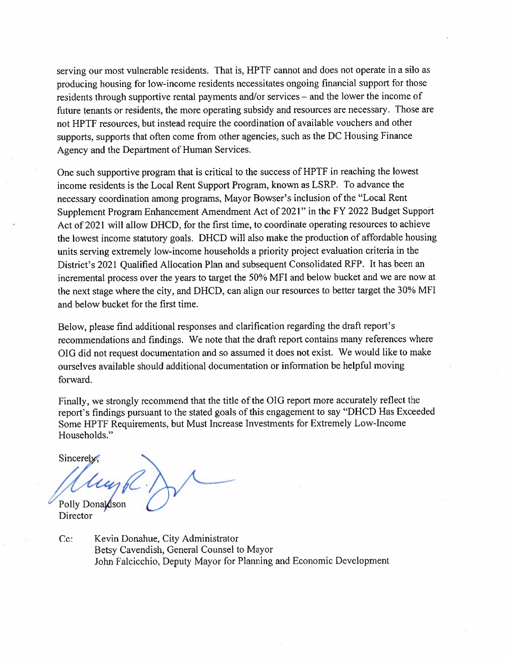serving our most vulnerable residents. That is, HPTF cannot and does not operate in a silo as producing housing for low-income residents necessitates ongoing financial support for those residents through supportive rental payments and/or services – and the lower the income of future tenants or residents, the more operating subsidy and resources are necessary. Those are not HPTF resources, but instead require the coordination of available vouchers and other supports, supports that often come from other agencies, such as the DC Housing Finance Agency and the Department of Human Services.

One such supportive program that is critical to the success of HPTF in reaching the lowest income residents is the Local Rent Support Program, known as LSRP. To advance the necessary coordination among programs, Mayor Bowser's inclusion of the "Local Rent" Supplement Program Enhancement Amendment Act of 2021" in the FY 2022 Budget Support Act of 2021 will allow DHCD, for the first time, to coordinate operating resources to achieve the lowest income statutory goals. DHCD will also make the production of affordable housing units serving extremely low-income households a priority project evaluation criteria in the District's 2021 Qualified Allocation Plan and subsequent Consolidated RFP. It has been an incremental process over the years to target the 50% MFI and below bucket and we are now at the next stage where the city, and DHCD, can align our resources to better target the 30% MFI and below bucket for the first time.

Below, please find additional responses and clarification regarding the draft report's recommendations and findings. We note that the draft report contains many references where OIG did not request documentation and so assumed it does not exist. We would like to make ourselves available should additional documentation or information be helpful moving forward.

Finally, we strongly recommend that the title of the OIG report more accurately reflect the report's findings pursuant to the stated goals of this engagement to say "DHCD Has Exceeded Some HPTF Requirements, but Must Increase Investments for Extremely Low-Income Households."

Sincerely.

Polly Donaldson

Director

 $Cc$ : Kevin Donahue, City Administrator Betsy Cavendish, General Counsel to Mayor John Falcicchio, Deputy Mayor for Planning and Economic Development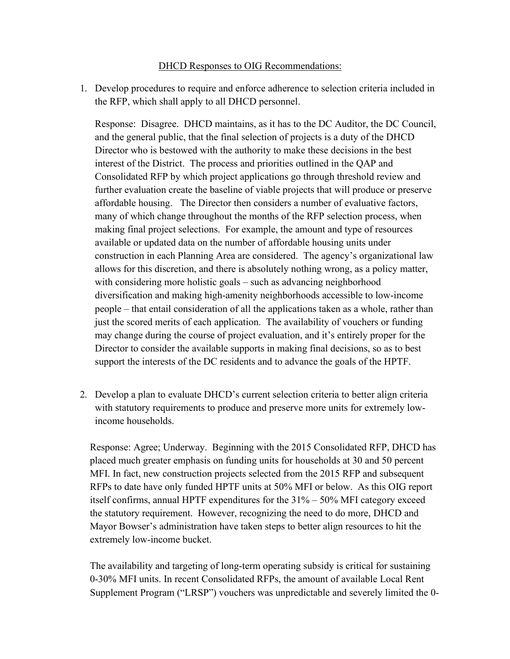## DHCD Responses to OIG Recommendations:

1. Develop procedures to require and enforce adherence to selection criteria included in the RFP, which shall apply to all DHCD personnel.

Response: Disagree. DHCD maintains, as it has to the DC Auditor, the DC Council, and the general public, that the final selection of projects is a duty of the DHCD Director who is bestowed with the authority to make these decisions in the best interest of the District. The process and priorities outlined in the QAP and Consolidated RFP by which project applications go through threshold review and further evaluation create the baseline of viable projects that will produce or preserve affordable housing. The Director then considers a number of evaluative factors, many of which change throughout the months of the RFP selection process, when making final project selections. For example, the amount and type of resources available or updated data on the number of affordable housing units under construction in each Planning Area are considered. The agency's organizational law allows for this discretion, and there is absolutely nothing wrong, as a policy matter, with considering more holistic goals – such as advancing neighborhood diversification and making high-amenity neighborhoods accessible to low-income people – that entail consideration of all the applications taken as a whole, rather than just the scored merits of each application. The availability of vouchers or funding may change during the course of project evaluation, and it's entirely proper for the Director to consider the available supports in making final decisions, so as to best support the interests of the DC residents and to advance the goals of the HPTF.

2. Develop a plan to evaluate DHCD's current selection criteria to better align criteria with statutory requirements to produce and preserve more units for extremely lowincome households.

Response: Agree; Underway. Beginning with the 2015 Consolidated RFP, DHCD has placed much greater emphasis on funding units for households at 30 and 50 percent MFI. In fact, new construction projects selected from the 2015 RFP and subsequent RFPs to date have only funded HPTF units at 50% MFI or below. As this OIG report itself confirms, annual HPTF expenditures for the 31% – 50% MFI category exceed the statutory requirement. However, recognizing the need to do more, DHCD and Mayor Bowser's administration have taken steps to better align resources to hit the extremely low-income bucket.

The availability and targeting of long-term operating subsidy is critical for sustaining 0-30% MFI units. In recent Consolidated RFPs, the amount of available Local Rent Supplement Program ("LRSP") vouchers was unpredictable and severely limited the 0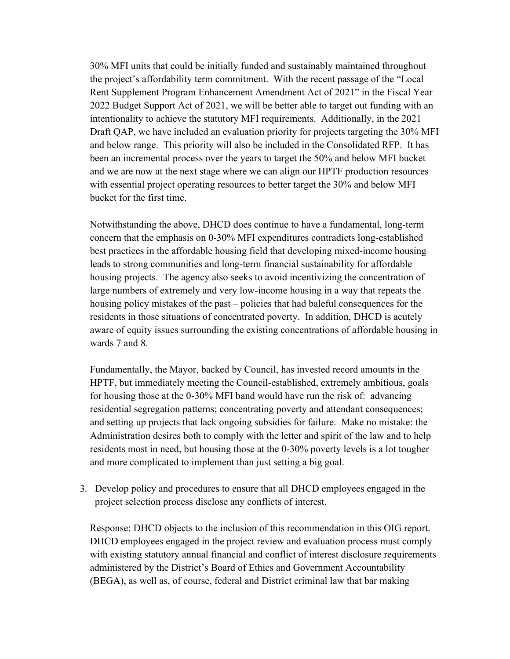30% MFI units that could be initially funded and sustainably maintained throughout the project's affordability term commitment. With the recent passage of the "Local Rent Supplement Program Enhancement Amendment Act of 2021" in the Fiscal Year 2022 Budget Support Act of 2021, we will be better able to target out funding with an intentionality to achieve the statutory MFI requirements. Additionally, in the 2021 Draft QAP, we have included an evaluation priority for projects targeting the 30% MFI and below range. This priority will also be included in the Consolidated RFP. It has been an incremental process over the years to target the 50% and below MFI bucket and we are now at the next stage where we can align our HPTF production resources with essential project operating resources to better target the 30% and below MFI bucket for the first time.

Notwithstanding the above, DHCD does continue to have a fundamental, long-term concern that the emphasis on 0-30% MFI expenditures contradicts long-established best practices in the affordable housing field that developing mixed-income housing leads to strong communities and long-term financial sustainability for affordable housing projects. The agency also seeks to avoid incentivizing the concentration of large numbers of extremely and very low-income housing in a way that repeats the housing policy mistakes of the past – policies that had baleful consequences for the residents in those situations of concentrated poverty. In addition, DHCD is acutely aware of equity issues surrounding the existing concentrations of affordable housing in wards 7 and 8.

Fundamentally, the Mayor, backed by Council, has invested record amounts in the HPTF, but immediately meeting the Council-established, extremely ambitious, goals for housing those at the 0-30% MFI band would have run the risk of: advancing residential segregation patterns; concentrating poverty and attendant consequences; and setting up projects that lack ongoing subsidies for failure. Make no mistake: the Administration desires both to comply with the letter and spirit of the law and to help residents most in need, but housing those at the 0-30% poverty levels is a lot tougher and more complicated to implement than just setting a big goal.

3. Develop policy and procedures to ensure that all DHCD employees engaged in the project selection process disclose any conflicts of interest.

Response: DHCD objects to the inclusion of this recommendation in this OIG report. DHCD employees engaged in the project review and evaluation process must comply with existing statutory annual financial and conflict of interest disclosure requirements administered by the District's Board of Ethics and Government Accountability (BEGA), as well as, of course, federal and District criminal law that bar making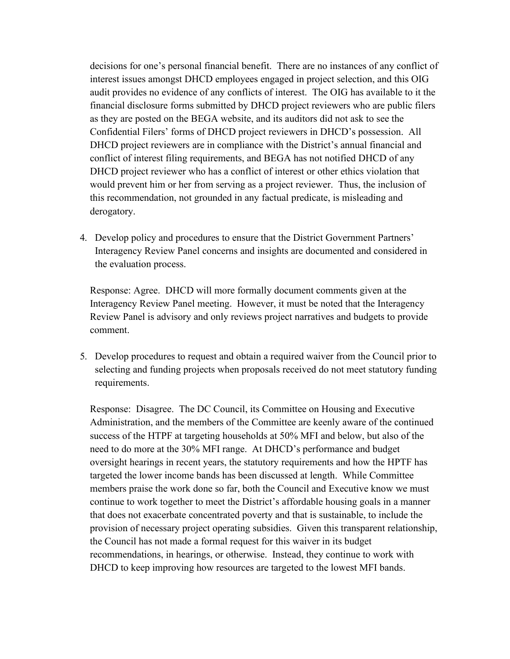decisions for one's personal financial benefit. There are no instances of any conflict of interest issues amongst DHCD employees engaged in project selection, and this OIG audit provides no evidence of any conflicts of interest. The OIG has available to it the financial disclosure forms submitted by DHCD project reviewers who are public filers as they are posted on the BEGA website, and its auditors did not ask to see the Confidential Filers' forms of DHCD project reviewers in DHCD's possession. All DHCD project reviewers are in compliance with the District's annual financial and conflict of interest filing requirements, and BEGA has not notified DHCD of any DHCD project reviewer who has a conflict of interest or other ethics violation that would prevent him or her from serving as a project reviewer. Thus, the inclusion of this recommendation, not grounded in any factual predicate, is misleading and derogatory.

4. Develop policy and procedures to ensure that the District Government Partners' Interagency Review Panel concerns and insights are documented and considered in the evaluation process.

Response: Agree. DHCD will more formally document comments given at the Interagency Review Panel meeting. However, it must be noted that the Interagency Review Panel is advisory and only reviews project narratives and budgets to provide comment.

5. Develop procedures to request and obtain a required waiver from the Council prior to selecting and funding projects when proposals received do not meet statutory funding requirements.

Response: Disagree. The DC Council, its Committee on Housing and Executive Administration, and the members of the Committee are keenly aware of the continued success of the HTPF at targeting households at 50% MFI and below, but also of the need to do more at the 30% MFI range. At DHCD's performance and budget oversight hearings in recent years, the statutory requirements and how the HPTF has targeted the lower income bands has been discussed at length. While Committee members praise the work done so far, both the Council and Executive know we must continue to work together to meet the District's affordable housing goals in a manner that does not exacerbate concentrated poverty and that is sustainable, to include the provision of necessary project operating subsidies. Given this transparent relationship, the Council has not made a formal request for this waiver in its budget recommendations, in hearings, or otherwise. Instead, they continue to work with DHCD to keep improving how resources are targeted to the lowest MFI bands.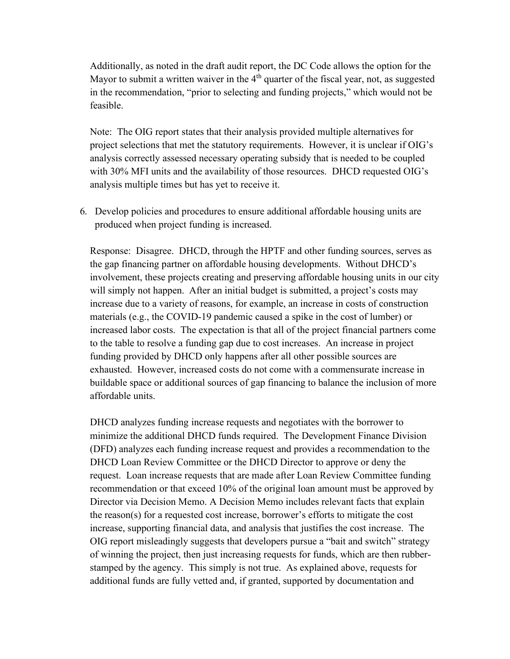Additionally, as noted in the draft audit report, the DC Code allows the option for the Mayor to submit a written waiver in the  $4<sup>th</sup>$  quarter of the fiscal year, not, as suggested in the recommendation, "prior to selecting and funding projects," which would not be feasible.

Note: The OIG report states that their analysis provided multiple alternatives for project selections that met the statutory requirements. However, it is unclear if OIG's analysis correctly assessed necessary operating subsidy that is needed to be coupled with 30% MFI units and the availability of those resources. DHCD requested OIG's analysis multiple times but has yet to receive it.

6. Develop policies and procedures to ensure additional affordable housing units are produced when project funding is increased.

Response: Disagree. DHCD, through the HPTF and other funding sources, serves as the gap financing partner on affordable housing developments. Without DHCD's involvement, these projects creating and preserving affordable housing units in our city will simply not happen. After an initial budget is submitted, a project's costs may increase due to a variety of reasons, for example, an increase in costs of construction materials (e.g., the COVID-19 pandemic caused a spike in the cost of lumber) or increased labor costs. The expectation is that all of the project financial partners come to the table to resolve a funding gap due to cost increases. An increase in project funding provided by DHCD only happens after all other possible sources are exhausted. However, increased costs do not come with a commensurate increase in buildable space or additional sources of gap financing to balance the inclusion of more affordable units.

DHCD analyzes funding increase requests and negotiates with the borrower to minimize the additional DHCD funds required. The Development Finance Division (DFD) analyzes each funding increase request and provides a recommendation to the DHCD Loan Review Committee or the DHCD Director to approve or deny the request. Loan increase requests that are made after Loan Review Committee funding recommendation or that exceed 10% of the original loan amount must be approved by Director via Decision Memo. A Decision Memo includes relevant facts that explain the reason(s) for a requested cost increase, borrower's efforts to mitigate the cost increase, supporting financial data, and analysis that justifies the cost increase. The OIG report misleadingly suggests that developers pursue a "bait and switch" strategy of winning the project, then just increasing requests for funds, which are then rubberstamped by the agency. This simply is not true. As explained above, requests for additional funds are fully vetted and, if granted, supported by documentation and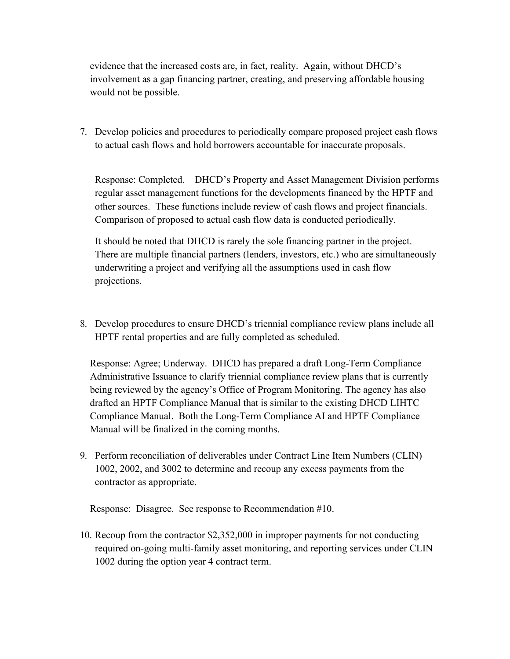evidence that the increased costs are, in fact, reality. Again, without DHCD's involvement as a gap financing partner, creating, and preserving affordable housing would not be possible.

7. Develop policies and procedures to periodically compare proposed project cash flows to actual cash flows and hold borrowers accountable for inaccurate proposals.

Response: Completed. DHCD's Property and Asset Management Division performs regular asset management functions for the developments financed by the HPTF and other sources. These functions include review of cash flows and project financials. Comparison of proposed to actual cash flow data is conducted periodically.

It should be noted that DHCD is rarely the sole financing partner in the project. There are multiple financial partners (lenders, investors, etc.) who are simultaneously underwriting a project and verifying all the assumptions used in cash flow projections.

8. Develop procedures to ensure DHCD's triennial compliance review plans include all HPTF rental properties and are fully completed as scheduled.

Response: Agree; Underway. DHCD has prepared a draft Long-Term Compliance Administrative Issuance to clarify triennial compliance review plans that is currently being reviewed by the agency's Office of Program Monitoring. The agency has also drafted an HPTF Compliance Manual that is similar to the existing DHCD LIHTC Compliance Manual. Both the Long-Term Compliance AI and HPTF Compliance Manual will be finalized in the coming months.

9. Perform reconciliation of deliverables under Contract Line Item Numbers (CLIN) 1002, 2002, and 3002 to determine and recoup any excess payments from the contractor as appropriate.

Response: Disagree. See response to Recommendation #10.

10. Recoup from the contractor \$2,352,000 in improper payments for not conducting required on-going multi-family asset monitoring, and reporting services under CLIN 1002 during the option year 4 contract term.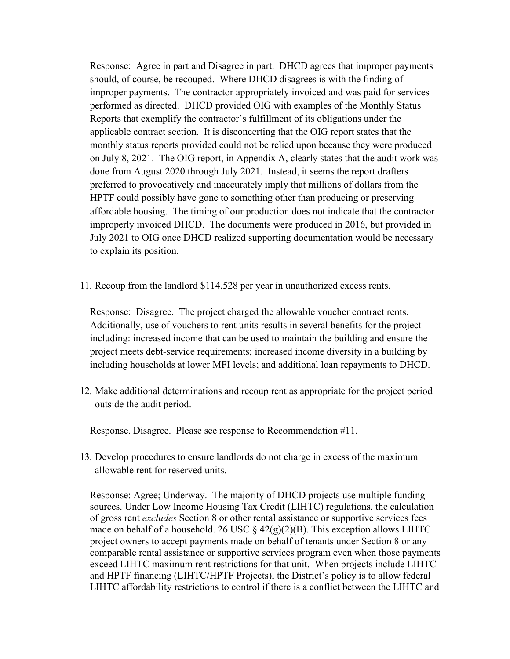Response: Agree in part and Disagree in part. DHCD agrees that improper payments should, of course, be recouped. Where DHCD disagrees is with the finding of improper payments. The contractor appropriately invoiced and was paid for services performed as directed. DHCD provided OIG with examples of the Monthly Status Reports that exemplify the contractor's fulfillment of its obligations under the applicable contract section. It is disconcerting that the OIG report states that the monthly status reports provided could not be relied upon because they were produced on July 8, 2021. The OIG report, in Appendix A, clearly states that the audit work was done from August 2020 through July 2021. Instead, it seems the report drafters preferred to provocatively and inaccurately imply that millions of dollars from the HPTF could possibly have gone to something other than producing or preserving affordable housing. The timing of our production does not indicate that the contractor improperly invoiced DHCD. The documents were produced in 2016, but provided in July 2021 to OIG once DHCD realized supporting documentation would be necessary to explain its position.

11. Recoup from the landlord \$114,528 per year in unauthorized excess rents.

Response: Disagree. The project charged the allowable voucher contract rents. Additionally, use of vouchers to rent units results in several benefits for the project including: increased income that can be used to maintain the building and ensure the project meets debt-service requirements; increased income diversity in a building by including households at lower MFI levels; and additional loan repayments to DHCD.

12. Make additional determinations and recoup rent as appropriate for the project period outside the audit period.

Response. Disagree. Please see response to Recommendation #11.

13. Develop procedures to ensure landlords do not charge in excess of the maximum allowable rent for reserved units.

Response: Agree; Underway. The majority of DHCD projects use multiple funding sources. Under Low Income Housing Tax Credit (LIHTC) regulations, the calculation of gross rent *excludes* Section 8 or other rental assistance or supportive services fees made on behalf of a household. 26 USC  $\S$  42(g)(2)(B). This exception allows LIHTC project owners to accept payments made on behalf of tenants under Section 8 or any comparable rental assistance or supportive services program even when those payments exceed LIHTC maximum rent restrictions for that unit. When projects include LIHTC and HPTF financing (LIHTC/HPTF Projects), the District's policy is to allow federal LIHTC affordability restrictions to control if there is a conflict between the LIHTC and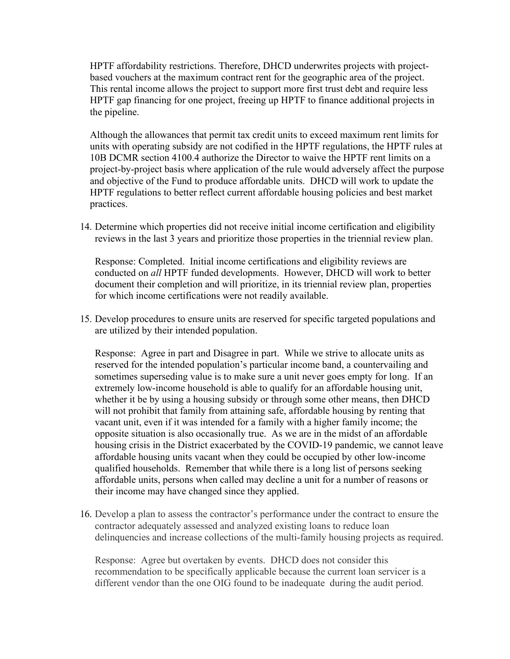HPTF affordability restrictions. Therefore, DHCD underwrites projects with projectbased vouchers at the maximum contract rent for the geographic area of the project. This rental income allows the project to support more first trust debt and require less HPTF gap financing for one project, freeing up HPTF to finance additional projects in the pipeline.

Although the allowances that permit tax credit units to exceed maximum rent limits for units with operating subsidy are not codified in the HPTF regulations, the HPTF rules at 10B DCMR section 4100.4 authorize the Director to waive the HPTF rent limits on a project-by-project basis where application of the rule would adversely affect the purpose and objective of the Fund to produce affordable units. DHCD will work to update the HPTF regulations to better reflect current affordable housing policies and best market practices.

14. Determine which properties did not receive initial income certification and eligibility reviews in the last 3 years and prioritize those properties in the triennial review plan.

Response: Completed. Initial income certifications and eligibility reviews are conducted on *all* HPTF funded developments. However, DHCD will work to better document their completion and will prioritize, in its triennial review plan, properties for which income certifications were not readily available.

15. Develop procedures to ensure units are reserved for specific targeted populations and are utilized by their intended population.

Response: Agree in part and Disagree in part. While we strive to allocate units as reserved for the intended population's particular income band, a countervailing and sometimes superseding value is to make sure a unit never goes empty for long. If an extremely low-income household is able to qualify for an affordable housing unit, whether it be by using a housing subsidy or through some other means, then DHCD will not prohibit that family from attaining safe, affordable housing by renting that vacant unit, even if it was intended for a family with a higher family income; the opposite situation is also occasionally true. As we are in the midst of an affordable housing crisis in the District exacerbated by the COVID-19 pandemic, we cannot leave affordable housing units vacant when they could be occupied by other low-income qualified households. Remember that while there is a long list of persons seeking affordable units, persons when called may decline a unit for a number of reasons or their income may have changed since they applied.

16. Develop a plan to assess the contractor's performance under the contract to ensure the contractor adequately assessed and analyzed existing loans to reduce loan delinquencies and increase collections of the multi-family housing projects as required.

Response: Agree but overtaken by events. DHCD does not consider this recommendation to be specifically applicable because the current loan servicer is a different vendor than the one OIG found to be inadequate during the audit period.